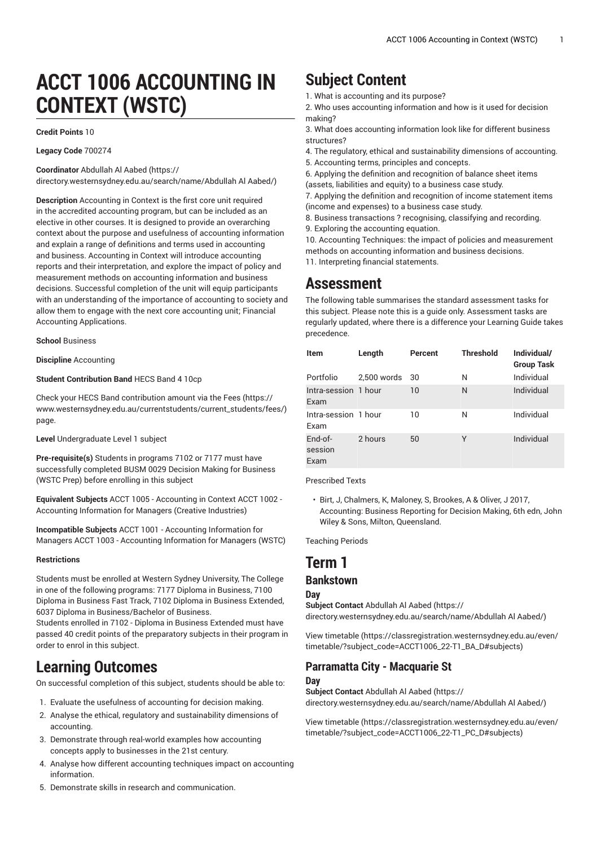# **ACCT 1006 ACCOUNTING IN CONTEXT (WSTC)**

#### **Credit Points** 10

**Legacy Code** 700274

**Coordinator** [Abdullah Al Aabed](https://directory.westernsydney.edu.au/search/name/Abdullah Al Aabed/) ([https://](https://directory.westernsydney.edu.au/search/name/Abdullah Al Aabed/)

[directory.westernsydney.edu.au/search/name/Abdullah](https://directory.westernsydney.edu.au/search/name/Abdullah Al Aabed/) Al Aabed/)

**Description** Accounting in Context is the first core unit required in the accredited accounting program, but can be included as an elective in other courses. It is designed to provide an overarching context about the purpose and usefulness of accounting information and explain a range of definitions and terms used in accounting and business. Accounting in Context will introduce accounting reports and their interpretation, and explore the impact of policy and measurement methods on accounting information and business decisions. Successful completion of the unit will equip participants with an understanding of the importance of accounting to society and allow them to engage with the next core accounting unit; Financial Accounting Applications.

**School** Business

**Discipline** Accounting

#### **Student Contribution Band** HECS Band 4 10cp

Check your HECS Band contribution amount via the [Fees \(https://](https://www.westernsydney.edu.au/currentstudents/current_students/fees/) [www.westernsydney.edu.au/currentstudents/current\\_students/fees/\)](https://www.westernsydney.edu.au/currentstudents/current_students/fees/) page.

**Level** Undergraduate Level 1 subject

**Pre-requisite(s)** Students in programs 7102 or 7177 must have successfully completed [BUSM 0029](/search/?P=BUSM%200029) Decision Making for Business (WSTC Prep) before enrolling in this subject

**Equivalent Subjects** [ACCT](/search/?P=ACCT%201005) 1005 - Accounting in Context ACCT 1002 - Accounting Information for Managers (Creative Industries)

**Incompatible Subjects** [ACCT](/search/?P=ACCT%201001) 1001 - Accounting Information for Managers [ACCT](/search/?P=ACCT%201003) 1003 - Accounting Information for Managers (WSTC)

#### **Restrictions**

Students must be enrolled at Western Sydney University, The College in one of the following programs: 7177 Diploma in Business, 7100 Diploma in Business Fast Track, 7102 Diploma in Business Extended, 6037 Diploma in Business/Bachelor of Business.

Students enrolled in 7102 - Diploma in Business Extended must have passed 40 credit points of the preparatory subjects in their program in order to enrol in this subject.

### **Learning Outcomes**

On successful completion of this subject, students should be able to:

- 1. Evaluate the usefulness of accounting for decision making.
- 2. Analyse the ethical, regulatory and sustainability dimensions of accounting.
- 3. Demonstrate through real-world examples how accounting concepts apply to businesses in the 21st century.
- 4. Analyse how different accounting techniques impact on accounting information.
- 5. Demonstrate skills in research and communication.

## **Subject Content**

- 1. What is accounting and its purpose?
- 2. Who uses accounting information and how is it used for decision making?
- 3. What does accounting information look like for different business structures?
- 4. The regulatory, ethical and sustainability dimensions of accounting.
- 5. Accounting terms, principles and concepts.
- 6. Applying the definition and recognition of balance sheet items (assets, liabilities and equity) to a business case study.

7. Applying the definition and recognition of income statement items (income and expenses) to a business case study.

8. Business transactions ? recognising, classifying and recording. 9. Exploring the accounting equation.

10. Accounting Techniques: the impact of policies and measurement methods on accounting information and business decisions.

11. Interpreting financial statements.

### **Assessment**

The following table summarises the standard assessment tasks for this subject. Please note this is a guide only. Assessment tasks are regularly updated, where there is a difference your Learning Guide takes precedence.

| <b>Item</b>                  | Length      | Percent | <b>Threshold</b> | Individual/<br><b>Group Task</b> |
|------------------------------|-------------|---------|------------------|----------------------------------|
| Portfolio                    | 2,500 words | 30      | N                | Individual                       |
| Intra-session 1 hour<br>Exam |             | 10      | N                | Individual                       |
| Intra-session 1 hour<br>Exam |             | 10      | N                | Individual                       |
| $End-of-$<br>session<br>Exam | 2 hours     | 50      | Υ                | Individual                       |

Prescribed Texts

• Birt, J, Chalmers, K, Maloney, S, Brookes, A & Oliver, J 2017, Accounting: Business Reporting for Decision Making, 6th edn, John Wiley & Sons, Milton, Queensland.

Teaching Periods

### **Term 1**

#### **Bankstown**

**Day Subject Contact** [Abdullah Al Aabed](https://directory.westernsydney.edu.au/search/name/Abdullah Al Aabed/) [\(https://](https://directory.westernsydney.edu.au/search/name/Abdullah Al Aabed/) [directory.westernsydney.edu.au/search/name/Abdullah](https://directory.westernsydney.edu.au/search/name/Abdullah Al Aabed/) Al Aabed/)

[View timetable](https://classregistration.westernsydney.edu.au/even/timetable/?subject_code=ACCT1006_22-T1_BA_D#subjects) [\(https://classregistration.westernsydney.edu.au/even/](https://classregistration.westernsydney.edu.au/even/timetable/?subject_code=ACCT1006_22-T1_BA_D#subjects) [timetable/?subject\\_code=ACCT1006\\_22-T1\\_BA\\_D#subjects\)](https://classregistration.westernsydney.edu.au/even/timetable/?subject_code=ACCT1006_22-T1_BA_D#subjects)

#### **Parramatta City - Macquarie St Day**

**Subject Contact** [Abdullah Al Aabed](https://directory.westernsydney.edu.au/search/name/Abdullah Al Aabed/) [\(https://](https://directory.westernsydney.edu.au/search/name/Abdullah Al Aabed/)

[directory.westernsydney.edu.au/search/name/Abdullah](https://directory.westernsydney.edu.au/search/name/Abdullah Al Aabed/) Al Aabed/)

[View timetable](https://classregistration.westernsydney.edu.au/even/timetable/?subject_code=ACCT1006_22-T1_PC_D#subjects) [\(https://classregistration.westernsydney.edu.au/even/](https://classregistration.westernsydney.edu.au/even/timetable/?subject_code=ACCT1006_22-T1_PC_D#subjects) [timetable/?subject\\_code=ACCT1006\\_22-T1\\_PC\\_D#subjects\)](https://classregistration.westernsydney.edu.au/even/timetable/?subject_code=ACCT1006_22-T1_PC_D#subjects)